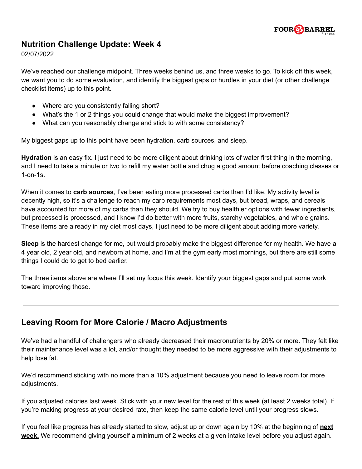

## **Nutrition Challenge Update: Week 4**

02/07/2022

We've reached our challenge midpoint. Three weeks behind us, and three weeks to go. To kick off this week, we want you to do some evaluation, and identify the biggest gaps or hurdles in your diet (or other challenge checklist items) up to this point.

- Where are you consistently falling short?
- What's the 1 or 2 things you could change that would make the biggest improvement?
- What can you reasonably change and stick to with some consistency?

My biggest gaps up to this point have been hydration, carb sources, and sleep.

**Hydration** is an easy fix. I just need to be more diligent about drinking lots of water first thing in the morning, and I need to take a minute or two to refill my water bottle and chug a good amount before coaching classes or 1-on-1s.

When it comes to **carb sources**, I've been eating more processed carbs than I'd like. My activity level is decently high, so it's a challenge to reach my carb requirements most days, but bread, wraps, and cereals have accounted for more of my carbs than they should. We try to buy healthier options with fewer ingredients, but processed is processed, and I know I'd do better with more fruits, starchy vegetables, and whole grains. These items are already in my diet most days, I just need to be more diligent about adding more variety.

**Sleep** is the hardest change for me, but would probably make the biggest difference for my health. We have a 4 year old, 2 year old, and newborn at home, and I'm at the gym early most mornings, but there are still some things I could do to get to bed earlier.

The three items above are where I'll set my focus this week. Identify your biggest gaps and put some work toward improving those.

## **Leaving Room for More Calorie / Macro Adjustments**

We've had a handful of challengers who already decreased their macronutrients by 20% or more. They felt like their maintenance level was a lot, and/or thought they needed to be more aggressive with their adjustments to help lose fat.

We'd recommend sticking with no more than a 10% adjustment because you need to leave room for more adjustments.

If you adjusted calories last week. Stick with your new level for the rest of this week (at least 2 weeks total). If you're making progress at your desired rate, then keep the same calorie level until your progress slows.

If you feel like progress has already started to slow, adjust up or down again by 10% at the beginning of **next week.** We recommend giving yourself a minimum of 2 weeks at a given intake level before you adjust again.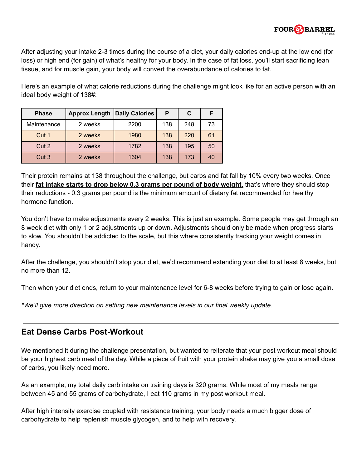

After adjusting your intake 2-3 times during the course of a diet, your daily calories end-up at the low end (for loss) or high end (for gain) of what's healthy for your body. In the case of fat loss, you'll start sacrificing lean tissue, and for muscle gain, your body will convert the overabundance of calories to fat.

Here's an example of what calorie reductions during the challenge might look like for an active person with an ideal body weight of 138#:

| <b>Phase</b>     | <b>Approx Length</b> | <b>Daily Calories</b> | Р   | C   | F  |
|------------------|----------------------|-----------------------|-----|-----|----|
| Maintenance      | 2 weeks              | 2200                  | 138 | 248 | 73 |
| Cut 1            | 2 weeks              | 1980                  | 138 | 220 | 61 |
| Cut 2            | 2 weeks              | 1782                  | 138 | 195 | 50 |
| Cut <sub>3</sub> | 2 weeks              | 1604                  | 138 | 173 | 40 |

Their protein remains at 138 throughout the challenge, but carbs and fat fall by 10% every two weeks. Once their **fat intake starts to drop below 0.3 grams per pound of body weight,** that's where they should stop their reductions - 0.3 grams per pound is the minimum amount of dietary fat recommended for healthy hormone function.

You don't have to make adjustments every 2 weeks. This is just an example. Some people may get through an 8 week diet with only 1 or 2 adjustments up or down. Adjustments should only be made when progress starts to slow. You shouldn't be addicted to the scale, but this where consistently tracking your weight comes in handy.

After the challenge, you shouldn't stop your diet, we'd recommend extending your diet to at least 8 weeks, but no more than 12.

Then when your diet ends, return to your maintenance level for 6-8 weeks before trying to gain or lose again.

*\*We'll give more direction on setting new maintenance levels in our final weekly update.*

## **Eat Dense Carbs Post-Workout**

We mentioned it during the challenge presentation, but wanted to reiterate that your post workout meal should be your highest carb meal of the day. While a piece of fruit with your protein shake may give you a small dose of carbs, you likely need more.

As an example, my total daily carb intake on training days is 320 grams. While most of my meals range between 45 and 55 grams of carbohydrate, I eat 110 grams in my post workout meal.

After high intensity exercise coupled with resistance training, your body needs a much bigger dose of carbohydrate to help replenish muscle glycogen, and to help with recovery.